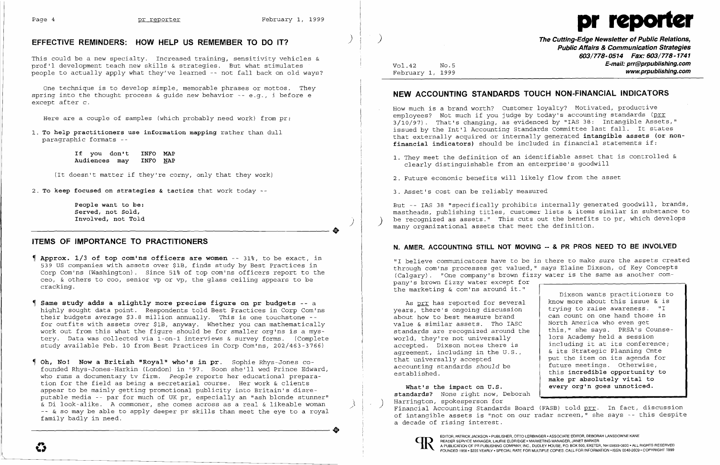

This could be a new specialty. Increased training, sensitivity vehicles & prof'l development teach new skills & strategies. But what stimulates people to actually apply what they've learned -- not fall back on old ways?

1. To help practitioners use information mapping rather than dull paragraphic formats -

> If you don't INFO MAP Audiences may

One technique is to develop simple, memorable phrases or mottos. They spring into the thought process & guide new behavior -- e.g., i before e except after c.

Here are a couple of samples (which probably need work) from pr:

(It doesn't matter if they're corny, only that they work)

2. To keep focused on strategies & tactics that work today  $-$ 

people want to be: Served, not Sold, Involved, not Told

..

)

## ITEMS OF IMPORTANCE TO PRACTITIONERS

- **Approx.**  $1/3$  of top com'ns officers are women  $-$  31%, to be exact, in 539 US companies with assets over \$lB, finds study by Best Practices in Corp Comins (Washington). Since 51% of top com'ns officers report to the ceo, & others to coo, senior vp or vp, the glass ceiling appears to be cracking.
- Same study adds a slightly more precise figure on pr budgets -- <sup>a</sup> highly sought data point. Respondents told Best Practices in Corp Com'ns their budgets average \$3.8 million annually. This is one touchstone -for outfits with assets over \$lB, anyway. Whether you can mathematically work out from this what the figure should be for smaller org'ns is a mystery. Data was collected via l-on-l interviews & survey forms. (Complete study available Feb. 10 from Best Practices in Corp Com'ns, 202/463-3766)
- $\blacksquare$  Oh, No! Now a British "Royal" who's in pr. Sophie Rhys-Jones cofounded Rhys-Jones-Harkin (London) in '97. Soon she'll wed Prince Edward, who runs a documentary tv firm. *People* reports her educational preparation for the field as being a secretarial course. Her work & clients appear to be mainly getting promotional publicity into Britain's disreputable media -- par for much of UK pr, especially an "ash blonde stunner"<br>& Di look-alike. A commoner, she comes across as a real & likeable woman e<br>& Di look-alike. A commoner, she comes across as a real & likeable woman )<br>-- & so may be able to apply deeper pr skills than meet the eye to a royal family badly in need. -- & so may be able to apply deeper pr skills than meet the eye to a royal family badly in need.

February 1, 1999

Public Affairs & Communication Strategies 603/778-0514 Fax: 603/778-1741 Vol. 42 No. 5 No. 5 No. 6 No. 6 No. 6 No. 6 No. 6 No. 42 No. 6 No. 42 No. 6 No. 42 No. 6 No. 42 No. 42 No. 42 No<br>February 1, 1999 No. 42 No. 42 No. 42 No. 42 No. 42 No. 42 No. 42 No. 42 No. 42 No. 42 No. 42 No. 42 No. 42 N

- employees? Not much if you judge by today's accounting standards (prr financial indicators) should be included in financial statements if:
	- clearly distinguishable from an enterprise's goodwill
- 2. Future economic benefits will likely flow from the asset
- 3. Asset's cost can be reliably measured

But -- IAS 38 "specifically prohibits internally generated goodwill, brands, mastheads, publishing titles, customer lists & items similar in substance to be recognized as assets." This cuts out the benefits to pr, which develops many organizational assets that meet the definition.

# N. AMER. ACCOUNTING STILL NOT MOVING -- & PR PROS NEED TO BE INVOLVED

As prr has reported for several years, there's ongoing discussion about how to best measure brand value & similar assets. Tho IASC standards are recognized around the world, they're not universally accepted. Dixson notes there is agreement, including in the U.S., that universally accepted accounting standards *should* be established.

# NEW ACCOUNTING STANDARDS TOUCH NON-FINANCIAL INDICATORS

How much is a brand worth? Customer loyalty? Motivated, productive 3/10/97). That's changing, as evidenced by "lAS 38: Intangible Assets," issued by the Int'l Accounting Standards Committee last fall. It states that externally acquired or internally generated intangible assets (or non-

1. They meet the definition of an identifiable asset that is controlled &

"I believe communicators have to be in there to make sure the assets created through com'ns processes get valued," says Elaine Dixson, of Key Concepts (Calgary). "One company's brown fizzy water is the same as another company's brown fizzy water except for the marketing & com'ns around it."

Dixson wants practitioners to know more about this issue & is trying to raise awareness. "I can count on one hand those in North America who even get this," she says. PRSA's Counselors Academy held a session including it at its conference; & its Strategic Planning Cmte put the item on its agenda for future meetings. Otherwise, this incredible opportunity to make pr absolutely vital to every org'n goes unnoticed.

What's the impact on U.S. standards? None right now, Deborah<br>Harrington, spokesperson for Harrington, spokesperson for and the state of the state of the state of the state of the state of the standards Board (FASB) told prr. In fact, discussion of intangible assets is "not on our radar screen," she says -- this despite a decade of rising interest.



# EFFECTIVE REMINDERS: HOW HELP US REMEMBER TO DO IT?  $\qquad \qquad$   $\qquad \qquad$   $\qquad \qquad$  The Cutting-Edge Newsletter of Public Relations,

READER SERVICE MANAGER, LAURIE ELDRIDGE. MARKETING MANAGER, JANET BARKER